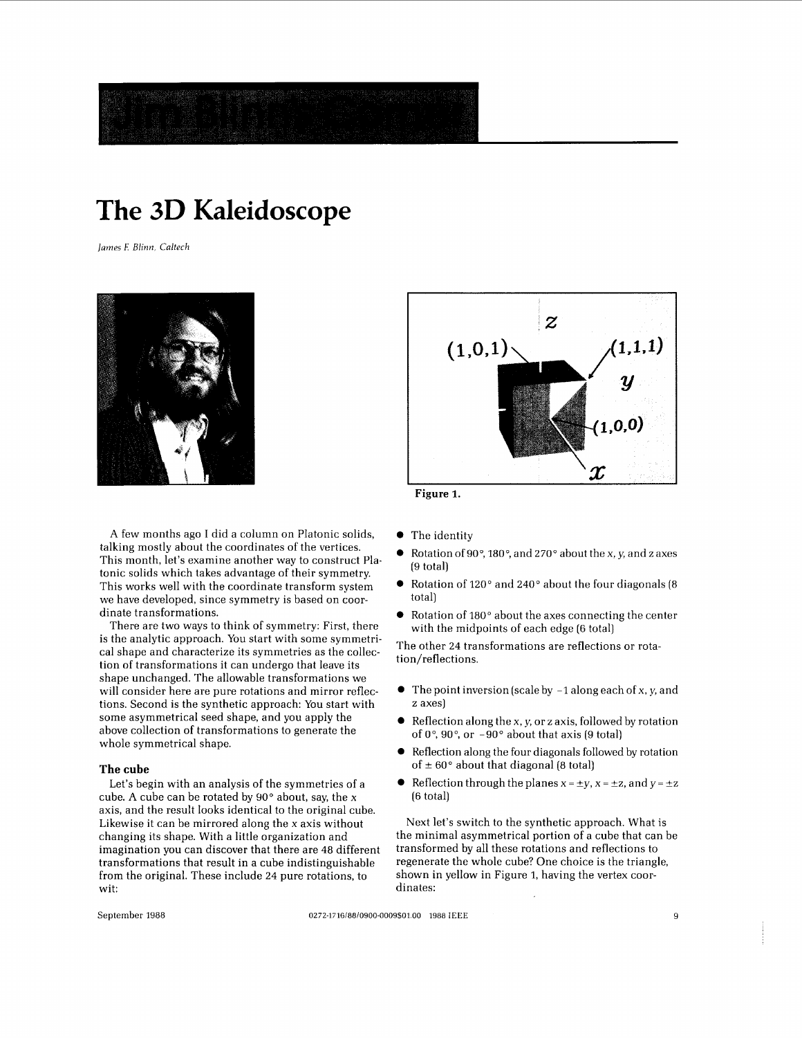

# **The 3D Kaleidoscope**

*James E Blinn, Caltech* 



A few months ago I did a column on Platonic solids, talking mostly about the coordinates of the vertices. This month, let's examine another way to construct Pla. tonic solids which takes advantage of their symmetry. This works well with the coordinate transform system we have developed, since symmetry is based on coordinate transformations.

There are two ways to think of symmetry: First, there is the analytic approach. You start with some symmetrical shape and characterize its symmetries as the collection of transformations it can undergo that leave its shape unchanged. The allowable transformations we will consider here are pure rotations and mirror reflections. Second is the synthetic approach: You start with some asymmetrical seed shape, and you apply the above collection of transformations to generate the whole symmetrical shape.

### **The cube**

Let's begin with an analysis of the symmetries of a cube. A cube can be rotated by  $90^\circ$  about, say, the x axis, and the result looks identical to the original cube. Likewise it can be mirrored along the **x** axis without changing its shape. With a little organization and imagination you can discover that there are 48 different transformations that result in a cube indistinguishable from the original. These include 24 pure rotations, to wit:



**Figure 1.** 

- The identity
- *0* Rotation of *goo,* **180°,** and 270" about the x, y, and z axes (9 total)
- *0* Rotation of 120° and 240" about the four diagonals (8 total)
- Rotation of 180° about the axes connecting the center with the midpoints of each edge (6 total)

The other 24 transformations are reflections or rotation/reflections.

- *0* The point inversion (scale by -1 along each of x, y, and z axes)
- Reflection along the x, y, or z axis, followed by rotation of  $0^\circ$ ,  $90^\circ$ , or  $-90^\circ$  about that axis (9 total)
- Reflection along the four diagonals followed by rotation of  $\pm 60^\circ$  about that diagonal (8 total)
- Reflection through the planes  $x = \pm y$ ,  $x = \pm z$ , and  $y = \pm z$ (6 total)

Next let's switch to the synthetic approach. What is the minimal asymmetrical portion of a cube that can be transformed by all these rotations and reflections to regenerate the whole cube? One choice is the triangle, shown in yellow in Figure **1,** having the vertex coordinates:

September 1988 0272-1716/88/0900-0009\$01.00 1988 IEEE 9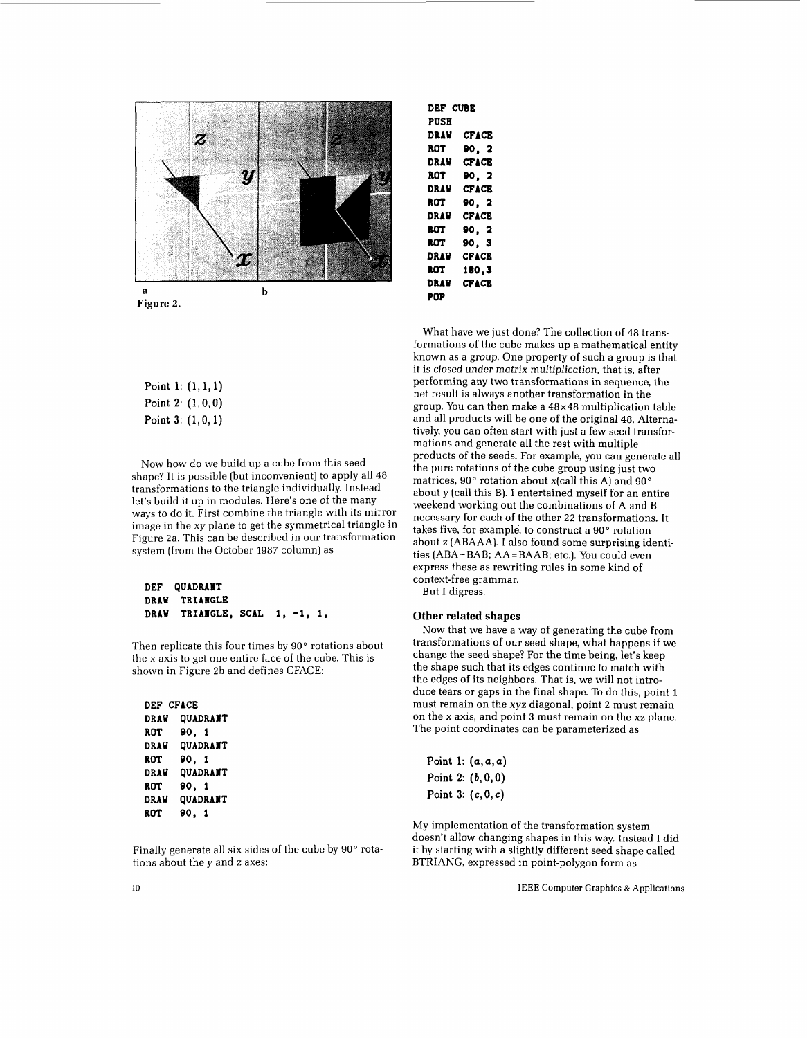

**Figure** *2.* 

| Point 1: $(1, 1, 1)$ |  |
|----------------------|--|
| Point 2: $(1, 0, 0)$ |  |
| Point $3: (1, 0, 1)$ |  |

Now how do we build up a cube from this seed shape? It is possible (but inconvenient) to apply all 48 transformations to the triangle individually. Instead let's build it up in modules. Here's one of the many ways to do it. First combine the triangle with its mirror image in the xy plane to get the symmetrical triangle in Figure 2a. This can be described in our transformation system (from the October 1987 column) as

```
DEF QUADRAIT 
DRAW TRIANGLE
DRAY TRIAIGLE, SCAL 1, -1, 1,
```
Then replicate this four times by 90° rotations about the x axis to get one entire face of the cube. This is shown in Figure 2b and defines CFACE:

| DEF CFACE   |                 |
|-------------|-----------------|
| <b>DRAW</b> | QUADRANT        |
| ROT         | 90.1            |
| DRAW        | <b>OUADRANT</b> |
| ROT         | 90.1            |
| DRAW        | <b>QUADRANT</b> |
| ROT         | 90. 1           |
| DRAW        | QUADRANT        |
| <b>ROT</b>  | 90. 1           |

Finally generate all six sides of the cube by 90° rotations about the y and z axes:

| DEF CUBE    |              |
|-------------|--------------|
| <b>PUSH</b> |              |
| DRAV        | <b>CFACE</b> |
| ROT         | 90. 2        |
| DRAV        | <b>CFACE</b> |
| rot         | 90. 2        |
| DRAV        | <b>CFACE</b> |
| ROT         | 90. 2        |
| DRAV        | <b>CFACE</b> |
| rot         | 90. 2        |
| rot         | 90. 3        |
| DRAV        | CFACE        |
| rot         | 180,3        |
| DRAV        | <b>CFACE</b> |
| POP         |              |

What have we just done? The collection of 48 transformations of the cube makes up a mathematical entity known as a group. One property of such a group is that it is closed under matrix multiplication, that is, after performing any two transformations in sequence, the net result is always another transformation in the group. You can then make a 48x48 multiplication table and all products will be one of the original 48. Alternatively, you can often start with just a few seed transformations and generate all the rest with multiple products of the seeds. For example, you can generate all the pure rotations of the cube group using just two matrices, 90° rotation about x(call this A) and 90° about y (call this B). I entertained myself for an entire weekend working out the combinations of A and B necessary for each of the other 22 transformations. It takes five, for example, to construct a 90° rotation about z (ABAAA). I also found some surprising identities (ABA=BAB; AA=BAAB; etc.). You could even express these as rewriting rules in some kind of context-free grammar. But I digress.

#### **Other related shapes**

Now that we have a way of generating the cube from transformations of our seed shape, what happens if we change the seed shape? For the time being, let's keep the shape such that its edges continue to match with the edges of its neighbors. That is, we will not introduce tears or gaps in the final shape. To do this, point **1**  must remain on the xyz diagonal, point 2 must remain on the **x** axis, and point **3** must remain on the xz plane. The point coordinates can be parameterized as

|  | Point 1: $(a, a, a)$ |
|--|----------------------|
|  | Point 2: $(b, 0, 0)$ |
|  | Point 3: $(c, 0, c)$ |

My implementation of the transformation system doesn't allow changing shapes in this way. Instead I did it by starting with a slightly different seed shape called BTRIANG, expressed in point-polygon form as

10 **IEEE Computer Graphics** & **Applications**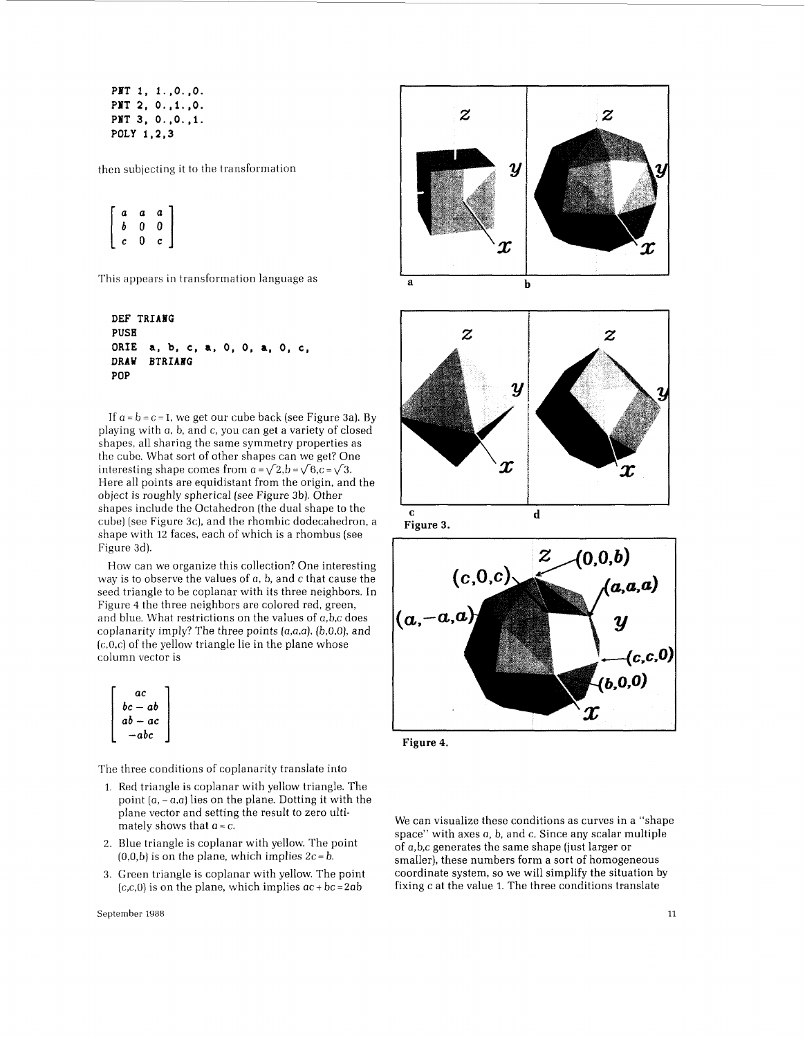**PIT** *1,* **l.,O.,O. PIT 2, 0.** ,l. **,O. PPT 3, O.,O,,l. POLY 1,2,3** 

then subjecting it to the transformation

$$
\left[\begin{array}{ccc}a&a&a\\b&0&0\\c&0&c\end{array}\right]
$$

This appears in transformation language as

```
DEF TRIABC 
PUSH 
ORIE a, b, c, a, 0, 0, a, 0, c, 
DRAW BTRIANG
POP
```
If  $a = b = c = 1$ , we get our cube back (see Figure 3a). By playing with a, b, and c, you can get a variety of closed shapes, all sharing the same symmetry properties as the cube. What sort of other shapes can we get? One interesting shape comes from  $a = \sqrt{2}$ , $b = \sqrt{6}$ , $c = \sqrt{3}$ . Here all points are equidistant from the origin, and the object is roughly spherical (see Figure 3b). Other shapes include the Octahedron (the dual shape to the cube) (see Figure 3c), and the rhombic dodecahedron, a shape with 12 faces, each of which is a rhombus (see Figure 3d).

How can we organize this collection? One interesting way is to observe the values of a, b, and c that cause the seed triangle to be coplanar with its three neighbors. In Figure 4 the three neighbors are colored red, green, and blue. What restrictions on the values of a,b,c does coplanarity imply? The three points  $(a,a,a)$ ,  $(b,0,0)$ , and  $(c,0,c)$  of the yellow triangle lie in the plane whose column vector is

| ac        |  |
|-----------|--|
| bc — ab   |  |
| $ab - ac$ |  |
| — abc     |  |

The three conditions of coplanarity translate into

- 1. Red triangle is coplanar with yellow triangle. The point  $(a, -a,a)$  lies on the plane. Dotting it with the plane vector and setting the result to zero ultimately shows that  $a = c$ .
- 2. Blue triangle is coplanar with yellow. The point  $(0,0,b)$  is on the plane, which implies  $2c = b$ .
- 3. Green triangle is coplanar with yellow. The point  $(c, c, 0)$  is on the plane, which implies  $ac + bc = 2ab$







**Figure 3.** 



**Figure 4.** 

We can visualize these conditions as curves in a "shape space" with axes a, b, and c. Since any scalar multiple of a,b,c generates the same shape (just larger or smaller), these numbers form a sort of homogeneous coordinate system, so we will simplify the situation by fixing c at the value 1. The three conditions translate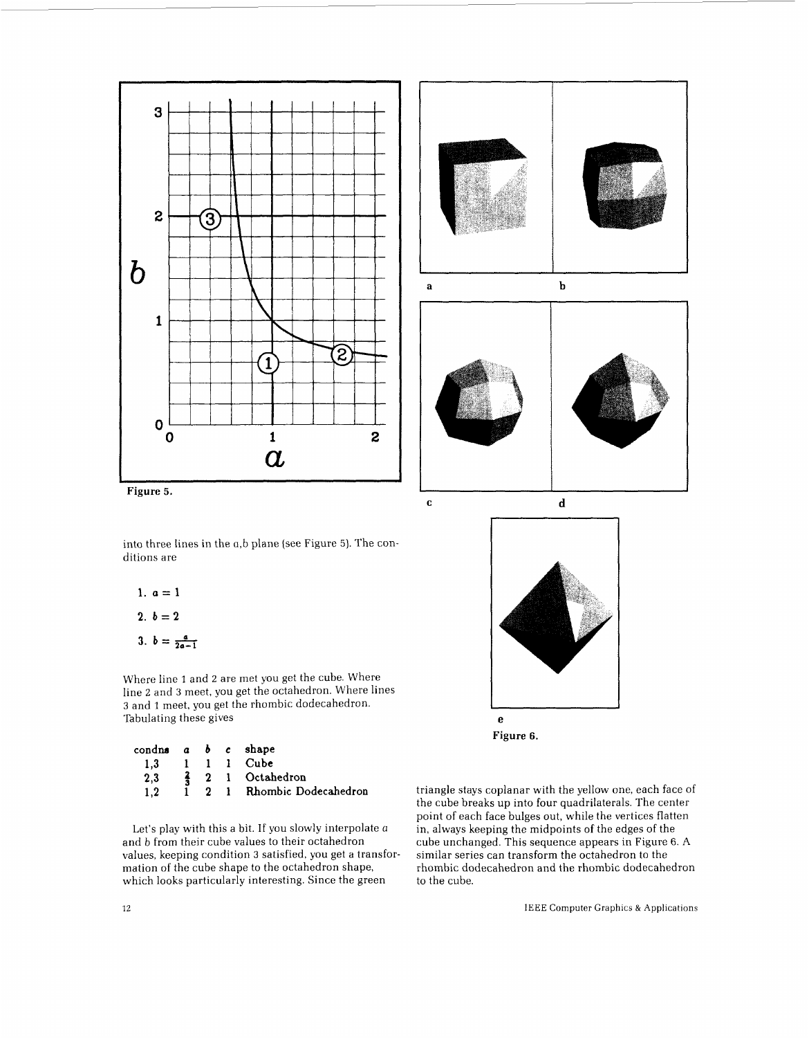



into three lines in the a,b plane (see Figure 5). The conditions are

1.  $a=1$ 

$$
2. b = 2
$$

3.  $b=\frac{a}{2a-1}$ 

Where line 1 and 2 are met you get the cube. Where line 2 and *3* meet, you get the octahedron. Where lines *3* and 1 meet, you get the rhombic dodecahedron. Tabulating these gives

| condus a b c shape |  |                              |
|--------------------|--|------------------------------|
| 1.3                |  | 1 1 1 Cube                   |
| 2.3                |  | $\frac{2}{3}$ 2 1 Octahedron |
| 1.2                |  | 1 2 1 Rhombic Dodecahedron   |

Let's play with this a bit. If you slowly interpolate a and *b* from their cube values to their octahedron values, keeping condition *3* satisfied, you get a transformation of the cube shape to the octahedron shape, which looks particularly interesting. Since the green

triangle stays coplanar with the yellow one, each face of the cube breaks up into four quadrilaterals. The center point of each face bulges out, while the vertices flatten in, always keeping the midpoints of the edges of the cube unchanged. This sequence appears in Figure 6. A similar series can transform the octahedron to the rhombic dodecahedron and the rhombic dodecahedron to the cube.

*e*  **Figure 6.**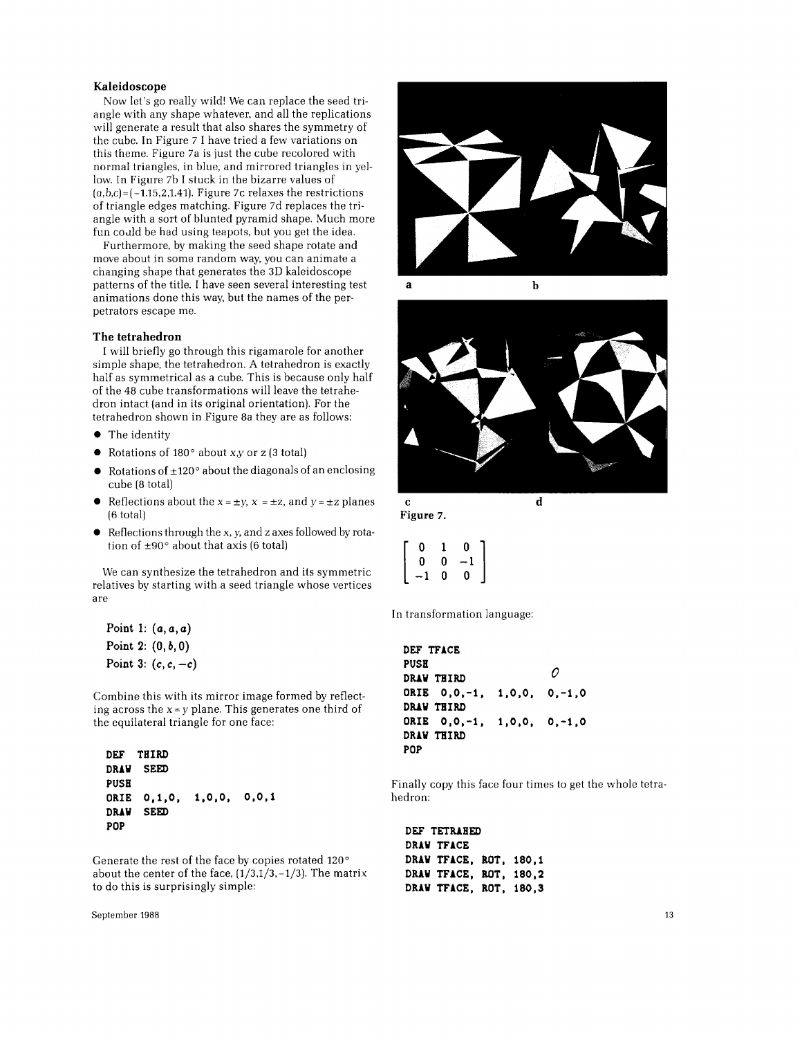### **Kaleidoscope**

Now let's go really wild! We can replace the seed triangle with any shape whatever, and all the replications will generate a result that also shares the symmetry of the cube. In Figure 7 I have tried a few variations on this theme. Figure 7a is just the cube recolored with normal triangles, in blue, and mirrored triangles in yellow. In Figure 7b I stuck in the bizarre values of  $(a,b,c) = (-1.15,2,1.41)$ . Figure 7c relaxes the restrictions of triangle edges matching. Figure 7d replaces the triangle with a sort of blunted pyramid shape. Much more fun codd be had using teapots, but you get the idea.

Furthermore, by making the seed shape rotate and move about in some random way, you can animate a changing shape that generates the **3D** kaleidoscope patterns of the title. I have seen several interesting test animations done this way, but the names of the perpetrators escape me.

### **The tetrahedron**

I will briefly go through this rigamarole for another simple shape, the tetrahedron. A tetrahedron is exactly half as symmetrical as a cube. This is because only half of the 48 cube transformations will leave the tetrahedron intact (and in its original orientation). For the tetrahedron shown in Figure 8a they are as follows:

- *0* The identity
- *0* Rotations of 180" about *x,y* or z **(3** total)
- *0* Rotations of **+.120"** about the diagonals of an enclosing cube (8 total)
- Reflections about the  $x = \pm y$ ,  $x = \pm z$ , and  $y = \pm z$  planes (6 total)
- *0* Reflections through the x, *y,* and z axes followed by rotation of  $\pm 90^\circ$  about that axis (6 total)

We can synthesize the tetrahedron and its symmetric relatives by starting with a seed triangle whose vertices are

**Point 1: (a, a, a) Point 2:** *(O,b,O)*  **Point 3:** *(c,c,-c)* 

Combine this with its mirror image formed by reflecting across the  $x = y$  plane. This generates one third of the equilateral triangle for one face:

**DEF THIRD DRAW SEED PUSH ORIE 0,1,0, 1,0,0, O,O,1 DRAW SEED POP** 

Generate the rest of the face by copies rotated **120"**  about the center of the face, **(1/3,1/3,-1/3).** The matrix to do this is surprisingly simple:

September 1988 **13** 





**<sup>C</sup>d Figure 7.** 

| 0                | 1 | 0    |  |
|------------------|---|------|--|
| 0                | 0 | $-1$ |  |
| <br> <br> <br>-1 | 0 | 0    |  |

In transformation language:

**DEF TFACE PUSH DRAW THIRD ORIB O,O,-1, 1,0,0, 0,-1,0 DRAW THIRD ORIE O,O,-l, 1,0,0, 0,-1,0 DRAW THIRD POP**  *0* 

Finally copy this face four times to get the whole tetrahedron:

**DEF TETRAHED DRAW TFACE DRAW TFACE, ROT, 180,l DRAW TFACE, ROT, 180,2 DRAW "FACE, ROT, 180,3**